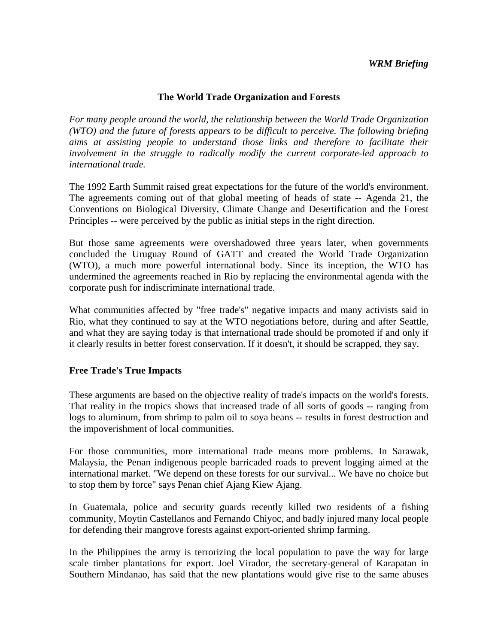## **The World Trade Organization and Forests**

*For many people around the world, the relationship between the World Trade Organization (WTO) and the future of forests appears to be difficult to perceive. The following briefing aims at assisting people to understand those links and therefore to facilitate their involvement in the struggle to radically modify the current corporate-led approach to international trade.* 

The 1992 Earth Summit raised great expectations for the future of the world's environment. The agreements coming out of that global meeting of heads of state -- Agenda 21, the Conventions on Biological Diversity, Climate Change and Desertification and the Forest Principles -- were perceived by the public as initial steps in the right direction.

But those same agreements were overshadowed three years later, when governments concluded the Uruguay Round of GATT and created the World Trade Organization (WTO), a much more powerful international body. Since its inception, the WTO has undermined the agreements reached in Rio by replacing the environmental agenda with the corporate push for indiscriminate international trade.

What communities affected by "free trade's" negative impacts and many activists said in Rio, what they continued to say at the WTO negotiations before, during and after Seattle, and what they are saying today is that international trade should be promoted if and only if it clearly results in better forest conservation. If it doesn't, it should be scrapped, they say.

### **Free Trade's True Impacts**

These arguments are based on the objective reality of trade's impacts on the world's forests. That reality in the tropics shows that increased trade of all sorts of goods -- ranging from logs to aluminum, from shrimp to palm oil to soya beans -- results in forest destruction and the impoverishment of local communities.

For those communities, more international trade means more problems. In Sarawak, Malaysia, the Penan indigenous people barricaded roads to prevent logging aimed at the international market. "We depend on these forests for our survival... We have no choice but to stop them by force" says Penan chief Ajang Kiew Ajang.

In Guatemala, police and security guards recently killed two residents of a fishing community, Moytin Castellanos and Fernando Chiyoc, and badly injured many local people for defending their mangrove forests against export-oriented shrimp farming.

In the Philippines the army is terrorizing the local population to pave the way for large scale timber plantations for export. Joel Virador, the secretary-general of Karapatan in Southern Mindanao, has said that the new plantations would give rise to the same abuses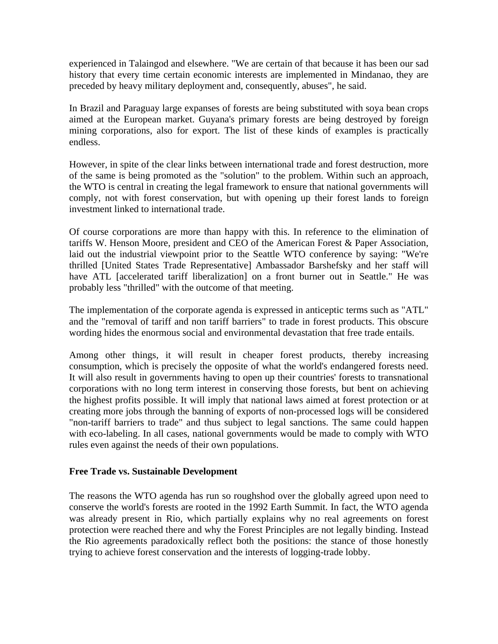experienced in Talaingod and elsewhere. "We are certain of that because it has been our sad history that every time certain economic interests are implemented in Mindanao, they are preceded by heavy military deployment and, consequently, abuses", he said.

In Brazil and Paraguay large expanses of forests are being substituted with soya bean crops aimed at the European market. Guyana's primary forests are being destroyed by foreign mining corporations, also for export. The list of these kinds of examples is practically endless.

However, in spite of the clear links between international trade and forest destruction, more of the same is being promoted as the "solution" to the problem. Within such an approach, the WTO is central in creating the legal framework to ensure that national governments will comply, not with forest conservation, but with opening up their forest lands to foreign investment linked to international trade.

Of course corporations are more than happy with this. In reference to the elimination of tariffs W. Henson Moore, president and CEO of the American Forest & Paper Association, laid out the industrial viewpoint prior to the Seattle WTO conference by saying: "We're thrilled [United States Trade Representative] Ambassador Barshefsky and her staff will have ATL [accelerated tariff liberalization] on a front burner out in Seattle." He was probably less "thrilled" with the outcome of that meeting.

The implementation of the corporate agenda is expressed in anticeptic terms such as "ATL" and the "removal of tariff and non tariff barriers" to trade in forest products. This obscure wording hides the enormous social and environmental devastation that free trade entails.

Among other things, it will result in cheaper forest products, thereby increasing consumption, which is precisely the opposite of what the world's endangered forests need. It will also result in governments having to open up their countries' forests to transnational corporations with no long term interest in conserving those forests, but bent on achieving the highest profits possible. It will imply that national laws aimed at forest protection or at creating more jobs through the banning of exports of non-processed logs will be considered "non-tariff barriers to trade" and thus subject to legal sanctions. The same could happen with eco-labeling. In all cases, national governments would be made to comply with WTO rules even against the needs of their own populations.

# **Free Trade vs. Sustainable Development**

The reasons the WTO agenda has run so roughshod over the globally agreed upon need to conserve the world's forests are rooted in the 1992 Earth Summit. In fact, the WTO agenda was already present in Rio, which partially explains why no real agreements on forest protection were reached there and why the Forest Principles are not legally binding. Instead the Rio agreements paradoxically reflect both the positions: the stance of those honestly trying to achieve forest conservation and the interests of logging-trade lobby.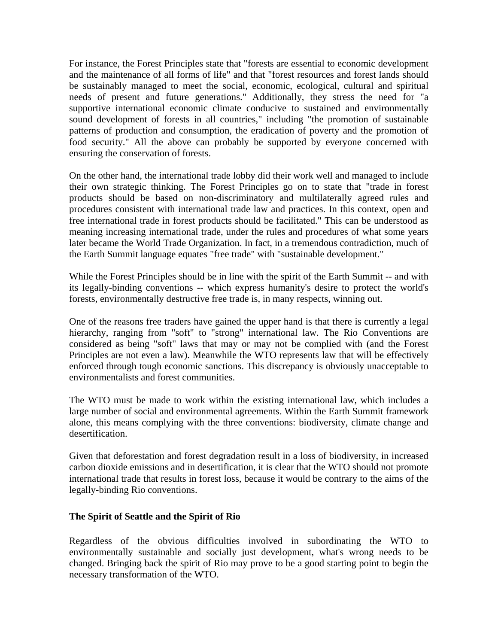For instance, the Forest Principles state that "forests are essential to economic development and the maintenance of all forms of life" and that "forest resources and forest lands should be sustainably managed to meet the social, economic, ecological, cultural and spiritual needs of present and future generations." Additionally, they stress the need for "a supportive international economic climate conducive to sustained and environmentally sound development of forests in all countries," including "the promotion of sustainable patterns of production and consumption, the eradication of poverty and the promotion of food security." All the above can probably be supported by everyone concerned with ensuring the conservation of forests.

On the other hand, the international trade lobby did their work well and managed to include their own strategic thinking. The Forest Principles go on to state that "trade in forest products should be based on non-discriminatory and multilaterally agreed rules and procedures consistent with international trade law and practices. In this context, open and free international trade in forest products should be facilitated." This can be understood as meaning increasing international trade, under the rules and procedures of what some years later became the World Trade Organization. In fact, in a tremendous contradiction, much of the Earth Summit language equates "free trade" with "sustainable development."

While the Forest Principles should be in line with the spirit of the Earth Summit -- and with its legally-binding conventions -- which express humanity's desire to protect the world's forests, environmentally destructive free trade is, in many respects, winning out.

One of the reasons free traders have gained the upper hand is that there is currently a legal hierarchy, ranging from "soft" to "strong" international law. The Rio Conventions are considered as being "soft" laws that may or may not be complied with (and the Forest Principles are not even a law). Meanwhile the WTO represents law that will be effectively enforced through tough economic sanctions. This discrepancy is obviously unacceptable to environmentalists and forest communities.

The WTO must be made to work within the existing international law, which includes a large number of social and environmental agreements. Within the Earth Summit framework alone, this means complying with the three conventions: biodiversity, climate change and desertification.

Given that deforestation and forest degradation result in a loss of biodiversity, in increased carbon dioxide emissions and in desertification, it is clear that the WTO should not promote international trade that results in forest loss, because it would be contrary to the aims of the legally-binding Rio conventions.

### **The Spirit of Seattle and the Spirit of Rio**

Regardless of the obvious difficulties involved in subordinating the WTO to environmentally sustainable and socially just development, what's wrong needs to be changed. Bringing back the spirit of Rio may prove to be a good starting point to begin the necessary transformation of the WTO.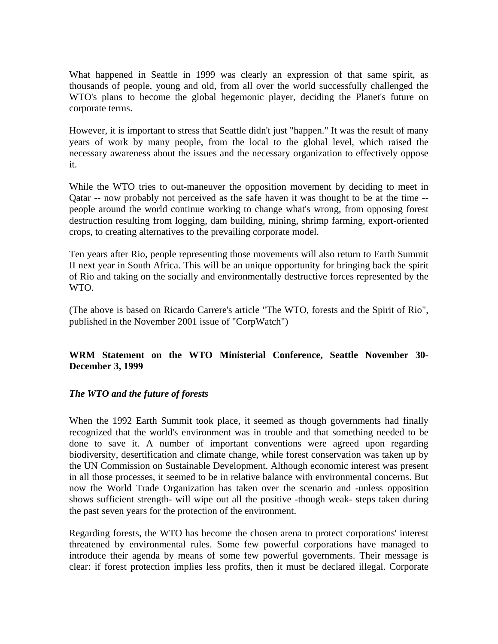What happened in Seattle in 1999 was clearly an expression of that same spirit, as thousands of people, young and old, from all over the world successfully challenged the WTO's plans to become the global hegemonic player, deciding the Planet's future on corporate terms.

However, it is important to stress that Seattle didn't just "happen." It was the result of many years of work by many people, from the local to the global level, which raised the necessary awareness about the issues and the necessary organization to effectively oppose it.

While the WTO tries to out-maneuver the opposition movement by deciding to meet in Qatar -- now probably not perceived as the safe haven it was thought to be at the time - people around the world continue working to change what's wrong, from opposing forest destruction resulting from logging, dam building, mining, shrimp farming, export-oriented crops, to creating alternatives to the prevailing corporate model.

Ten years after Rio, people representing those movements will also return to Earth Summit II next year in South Africa. This will be an unique opportunity for bringing back the spirit of Rio and taking on the socially and environmentally destructive forces represented by the WTO.

(The above is based on Ricardo Carrere's article "The WTO, forests and the Spirit of Rio", published in the November 2001 issue of "CorpWatch")

# **WRM Statement on the WTO Ministerial Conference, Seattle November 30- December 3, 1999**

### *The WTO and the future of forests*

When the 1992 Earth Summit took place, it seemed as though governments had finally recognized that the world's environment was in trouble and that something needed to be done to save it. A number of important conventions were agreed upon regarding biodiversity, desertification and climate change, while forest conservation was taken up by the UN Commission on Sustainable Development. Although economic interest was present in all those processes, it seemed to be in relative balance with environmental concerns. But now the World Trade Organization has taken over the scenario and -unless opposition shows sufficient strength- will wipe out all the positive -though weak- steps taken during the past seven years for the protection of the environment.

Regarding forests, the WTO has become the chosen arena to protect corporations' interest threatened by environmental rules. Some few powerful corporations have managed to introduce their agenda by means of some few powerful governments. Their message is clear: if forest protection implies less profits, then it must be declared illegal. Corporate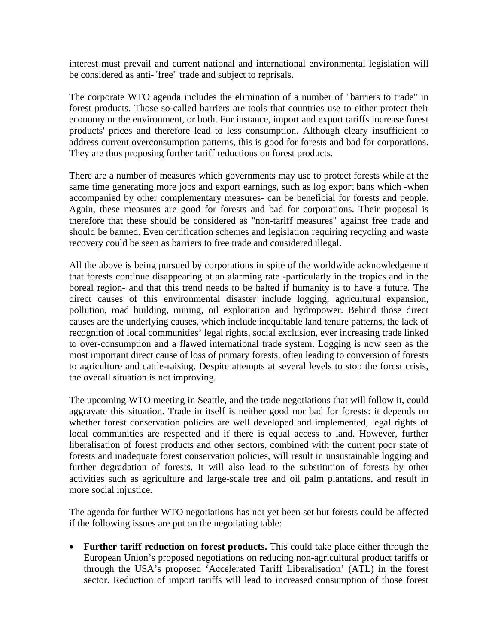interest must prevail and current national and international environmental legislation will be considered as anti-"free" trade and subject to reprisals.

The corporate WTO agenda includes the elimination of a number of "barriers to trade" in forest products. Those so-called barriers are tools that countries use to either protect their economy or the environment, or both. For instance, import and export tariffs increase forest products' prices and therefore lead to less consumption. Although cleary insufficient to address current overconsumption patterns, this is good for forests and bad for corporations. They are thus proposing further tariff reductions on forest products.

There are a number of measures which governments may use to protect forests while at the same time generating more jobs and export earnings, such as log export bans which -when accompanied by other complementary measures- can be beneficial for forests and people. Again, these measures are good for forests and bad for corporations. Their proposal is therefore that these should be considered as "non-tariff measures" against free trade and should be banned. Even certification schemes and legislation requiring recycling and waste recovery could be seen as barriers to free trade and considered illegal.

All the above is being pursued by corporations in spite of the worldwide acknowledgement that forests continue disappearing at an alarming rate -particularly in the tropics and in the boreal region- and that this trend needs to be halted if humanity is to have a future. The direct causes of this environmental disaster include logging, agricultural expansion, pollution, road building, mining, oil exploitation and hydropower. Behind those direct causes are the underlying causes, which include inequitable land tenure patterns, the lack of recognition of local communities' legal rights, social exclusion, ever increasing trade linked to over-consumption and a flawed international trade system. Logging is now seen as the most important direct cause of loss of primary forests, often leading to conversion of forests to agriculture and cattle-raising. Despite attempts at several levels to stop the forest crisis, the overall situation is not improving.

The upcoming WTO meeting in Seattle, and the trade negotiations that will follow it, could aggravate this situation. Trade in itself is neither good nor bad for forests: it depends on whether forest conservation policies are well developed and implemented, legal rights of local communities are respected and if there is equal access to land. However, further liberalisation of forest products and other sectors, combined with the current poor state of forests and inadequate forest conservation policies, will result in unsustainable logging and further degradation of forests. It will also lead to the substitution of forests by other activities such as agriculture and large-scale tree and oil palm plantations, and result in more social injustice.

The agenda for further WTO negotiations has not yet been set but forests could be affected if the following issues are put on the negotiating table:

 **Further tariff reduction on forest products.** This could take place either through the European Union's proposed negotiations on reducing non-agricultural product tariffs or through the USA's proposed 'Accelerated Tariff Liberalisation' (ATL) in the forest sector. Reduction of import tariffs will lead to increased consumption of those forest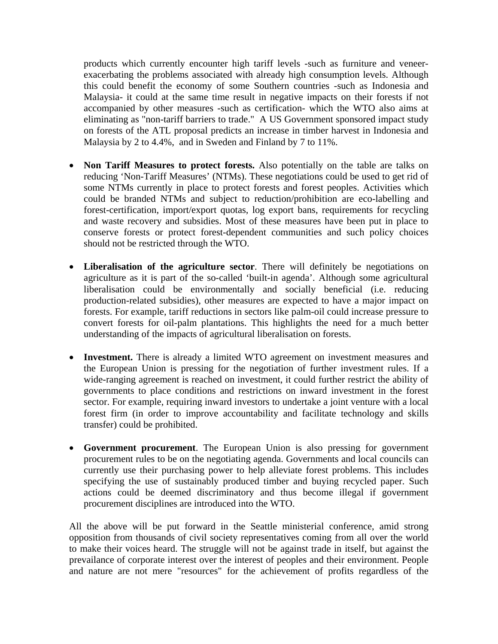products which currently encounter high tariff levels -such as furniture and veneerexacerbating the problems associated with already high consumption levels. Although this could benefit the economy of some Southern countries -such as Indonesia and Malaysia- it could at the same time result in negative impacts on their forests if not accompanied by other measures -such as certification- which the WTO also aims at eliminating as "non-tariff barriers to trade." A US Government sponsored impact study on forests of the ATL proposal predicts an increase in timber harvest in Indonesia and Malaysia by 2 to 4.4%, and in Sweden and Finland by 7 to 11%.

- **Non Tariff Measures to protect forests.** Also potentially on the table are talks on reducing 'Non-Tariff Measures' (NTMs). These negotiations could be used to get rid of some NTMs currently in place to protect forests and forest peoples. Activities which could be branded NTMs and subject to reduction/prohibition are eco-labelling and forest-certification, import/export quotas, log export bans, requirements for recycling and waste recovery and subsidies. Most of these measures have been put in place to conserve forests or protect forest-dependent communities and such policy choices should not be restricted through the WTO.
- **Liberalisation of the agriculture sector**. There will definitely be negotiations on agriculture as it is part of the so-called 'built-in agenda'. Although some agricultural liberalisation could be environmentally and socially beneficial (i.e. reducing production-related subsidies), other measures are expected to have a major impact on forests. For example, tariff reductions in sectors like palm-oil could increase pressure to convert forests for oil-palm plantations. This highlights the need for a much better understanding of the impacts of agricultural liberalisation on forests.
- **Investment.** There is already a limited WTO agreement on investment measures and the European Union is pressing for the negotiation of further investment rules. If a wide-ranging agreement is reached on investment, it could further restrict the ability of governments to place conditions and restrictions on inward investment in the forest sector. For example, requiring inward investors to undertake a joint venture with a local forest firm (in order to improve accountability and facilitate technology and skills transfer) could be prohibited.
- **Government procurement**. The European Union is also pressing for government procurement rules to be on the negotiating agenda. Governments and local councils can currently use their purchasing power to help alleviate forest problems. This includes specifying the use of sustainably produced timber and buying recycled paper. Such actions could be deemed discriminatory and thus become illegal if government procurement disciplines are introduced into the WTO.

All the above will be put forward in the Seattle ministerial conference, amid strong opposition from thousands of civil society representatives coming from all over the world to make their voices heard. The struggle will not be against trade in itself, but against the prevailance of corporate interest over the interest of peoples and their environment. People and nature are not mere "resources" for the achievement of profits regardless of the